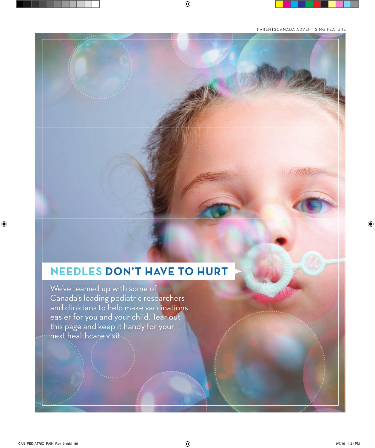## **NEEDLES DON'T HAVE TO HURT**

We've teamed up with some of Canada's leading pediatric researchers and clinicians to help make vaccinations easier for you and your child. Tear out this page and keep it handy for your next healthcare visit.